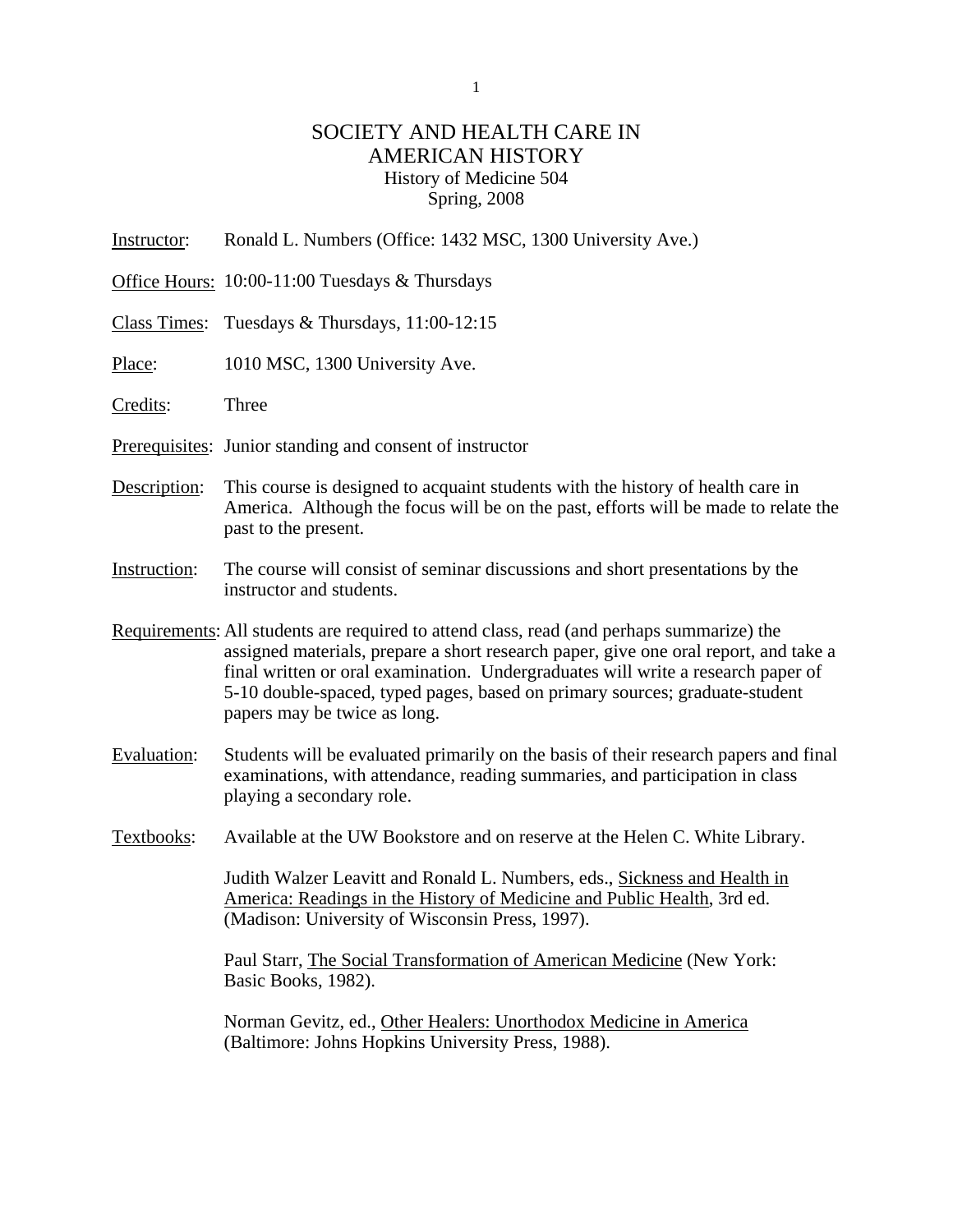# SOCIETY AND HEALTH CARE IN AMERICAN HISTORY History of Medicine 504 Spring, 2008

Instructor: Ronald L. Numbers (Office: 1432 MSC, 1300 University Ave.)

Office Hours: 10:00-11:00 Tuesdays & Thursdays

Class Times: Tuesdays & Thursdays, 11:00-12:15

Place: 1010 MSC, 1300 University Ave.

Credits: Three

Prerequisites: Junior standing and consent of instructor

- Description: This course is designed to acquaint students with the history of health care in America. Although the focus will be on the past, efforts will be made to relate the past to the present.
- Instruction: The course will consist of seminar discussions and short presentations by the instructor and students.
- Requirements: All students are required to attend class, read (and perhaps summarize) the assigned materials, prepare a short research paper, give one oral report, and take a final written or oral examination. Undergraduates will write a research paper of 5-10 double-spaced, typed pages, based on primary sources; graduate-student papers may be twice as long.
- Evaluation: Students will be evaluated primarily on the basis of their research papers and final examinations, with attendance, reading summaries, and participation in class playing a secondary role.
- Textbooks: Available at the UW Bookstore and on reserve at the Helen C. White Library.

Judith Walzer Leavitt and Ronald L. Numbers, eds., Sickness and Health in America: Readings in the History of Medicine and Public Health, 3rd ed. (Madison: University of Wisconsin Press, 1997).

Paul Starr, The Social Transformation of American Medicine (New York: Basic Books, 1982).

Norman Gevitz, ed., Other Healers: Unorthodox Medicine in America (Baltimore: Johns Hopkins University Press, 1988).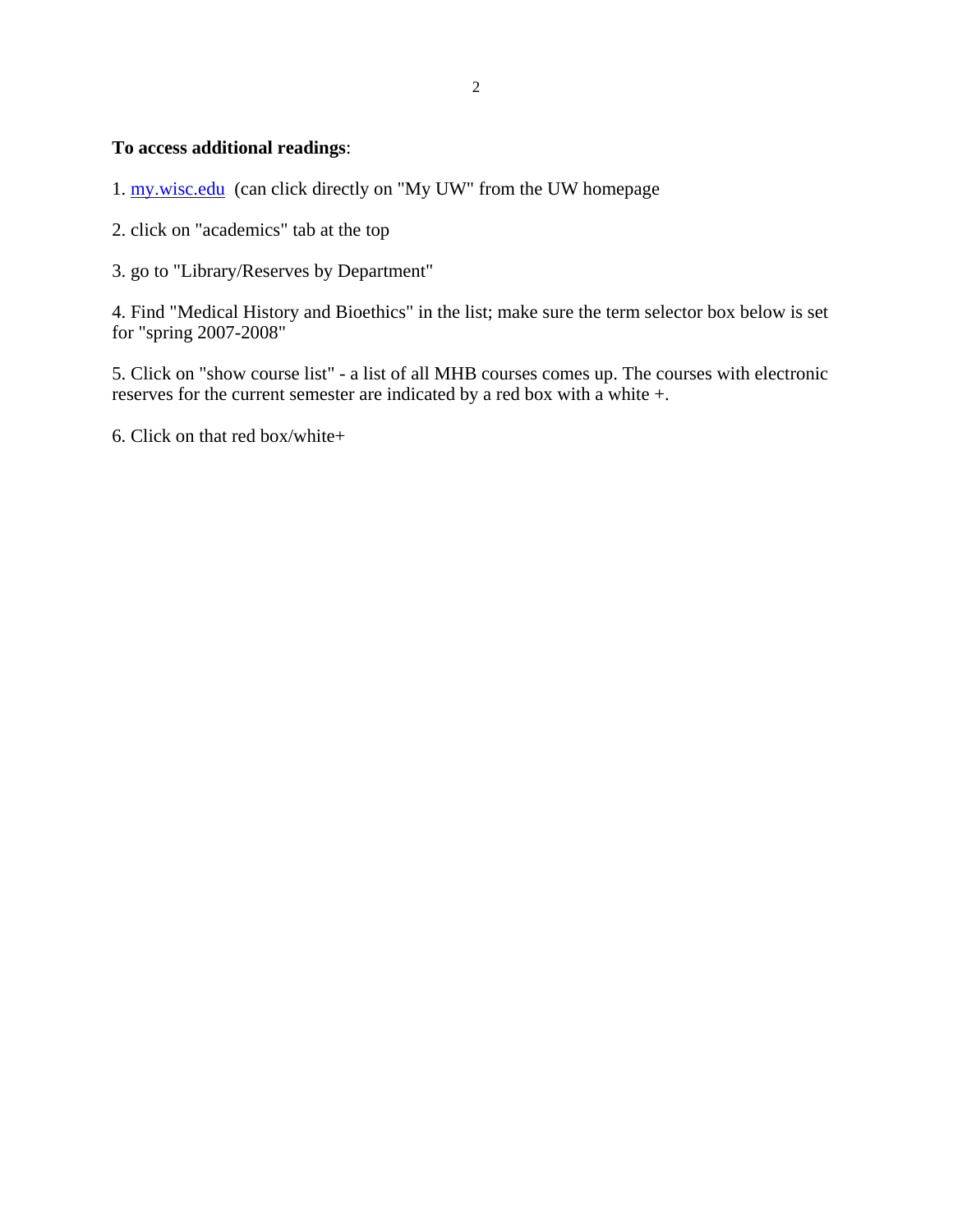# **To access additional readings**:

- 1. my.wisc.edu (can click directly on "My UW" from the UW homepage
- 2. click on "academics" tab at the top
- 3. go to "Library/Reserves by Department"

4. Find "Medical History and Bioethics" in the list; make sure the term selector box below is set for "spring 2007-2008"

5. Click on "show course list" - a list of all MHB courses comes up. The courses with electronic reserves for the current semester are indicated by a red box with a white +.

6. Click on that red box/white+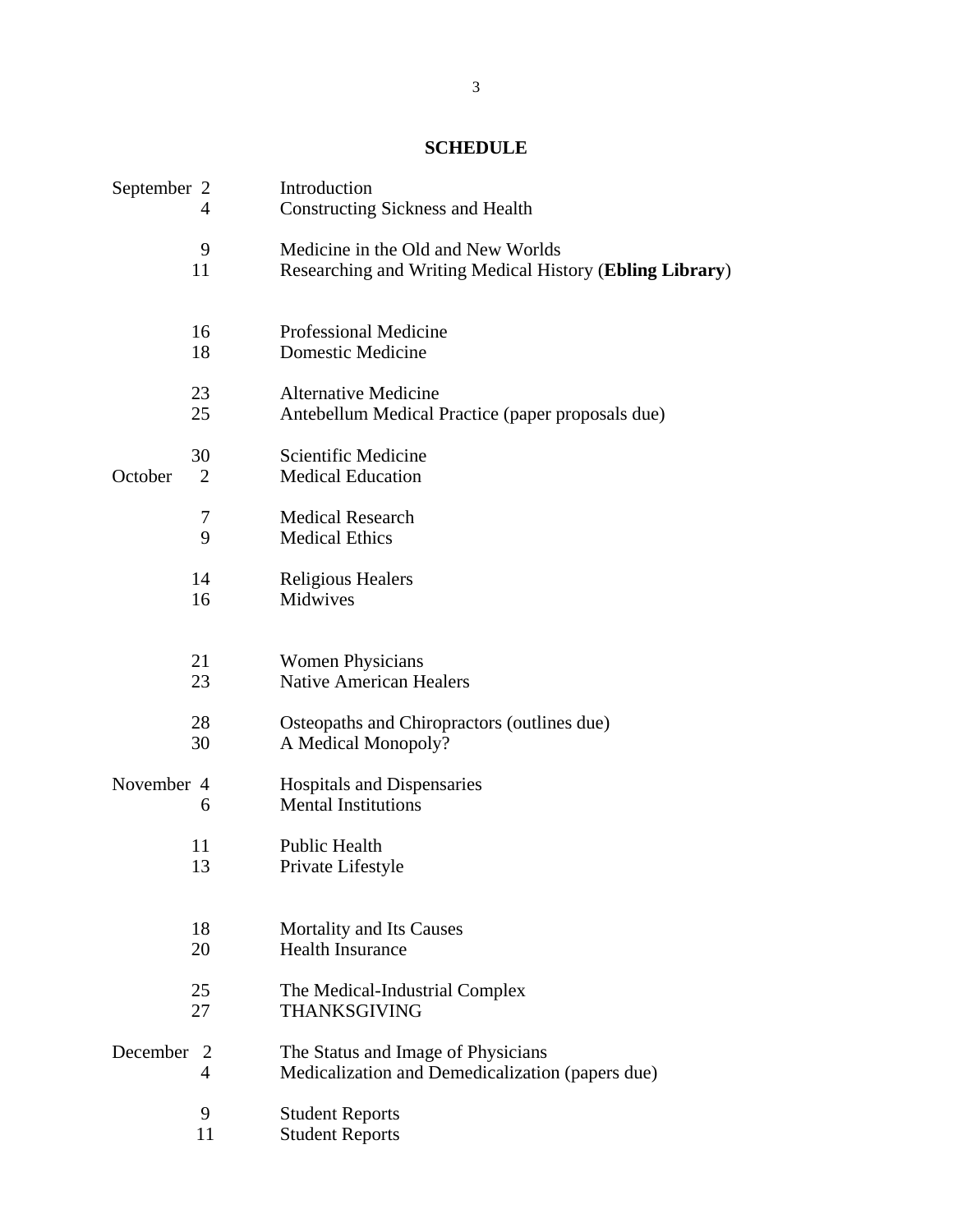# **SCHEDULE**

| September 2        | Introduction                                                                           |
|--------------------|----------------------------------------------------------------------------------------|
| 4                  | <b>Constructing Sickness and Health</b>                                                |
| 9                  | Medicine in the Old and New Worlds                                                     |
| 11                 | Researching and Writing Medical History (Ebling Library)                               |
| 16                 | <b>Professional Medicine</b>                                                           |
| 18                 | <b>Domestic Medicine</b>                                                               |
| 23                 | <b>Alternative Medicine</b>                                                            |
| 25                 | Antebellum Medical Practice (paper proposals due)                                      |
| 30<br>October<br>2 | Scientific Medicine<br><b>Medical Education</b>                                        |
| 7                  | <b>Medical Research</b>                                                                |
| 9                  | <b>Medical Ethics</b>                                                                  |
| 14                 | <b>Religious Healers</b>                                                               |
| 16                 | Midwives                                                                               |
| 21                 | <b>Women Physicians</b>                                                                |
| 23                 | <b>Native American Healers</b>                                                         |
| 28                 | Osteopaths and Chiropractors (outlines due)                                            |
| 30                 | A Medical Monopoly?                                                                    |
| November 4         | Hospitals and Dispensaries                                                             |
| 6                  | <b>Mental Institutions</b>                                                             |
| 11                 | Public Health                                                                          |
| 13                 | Private Lifestyle                                                                      |
| 18                 | Mortality and Its Causes                                                               |
| 20                 | <b>Health Insurance</b>                                                                |
| 25                 | The Medical-Industrial Complex                                                         |
| 27                 | THANKSGIVING                                                                           |
| December<br>2<br>4 | The Status and Image of Physicians<br>Medicalization and Demedicalization (papers due) |
| 9                  | <b>Student Reports</b>                                                                 |
| 11                 | <b>Student Reports</b>                                                                 |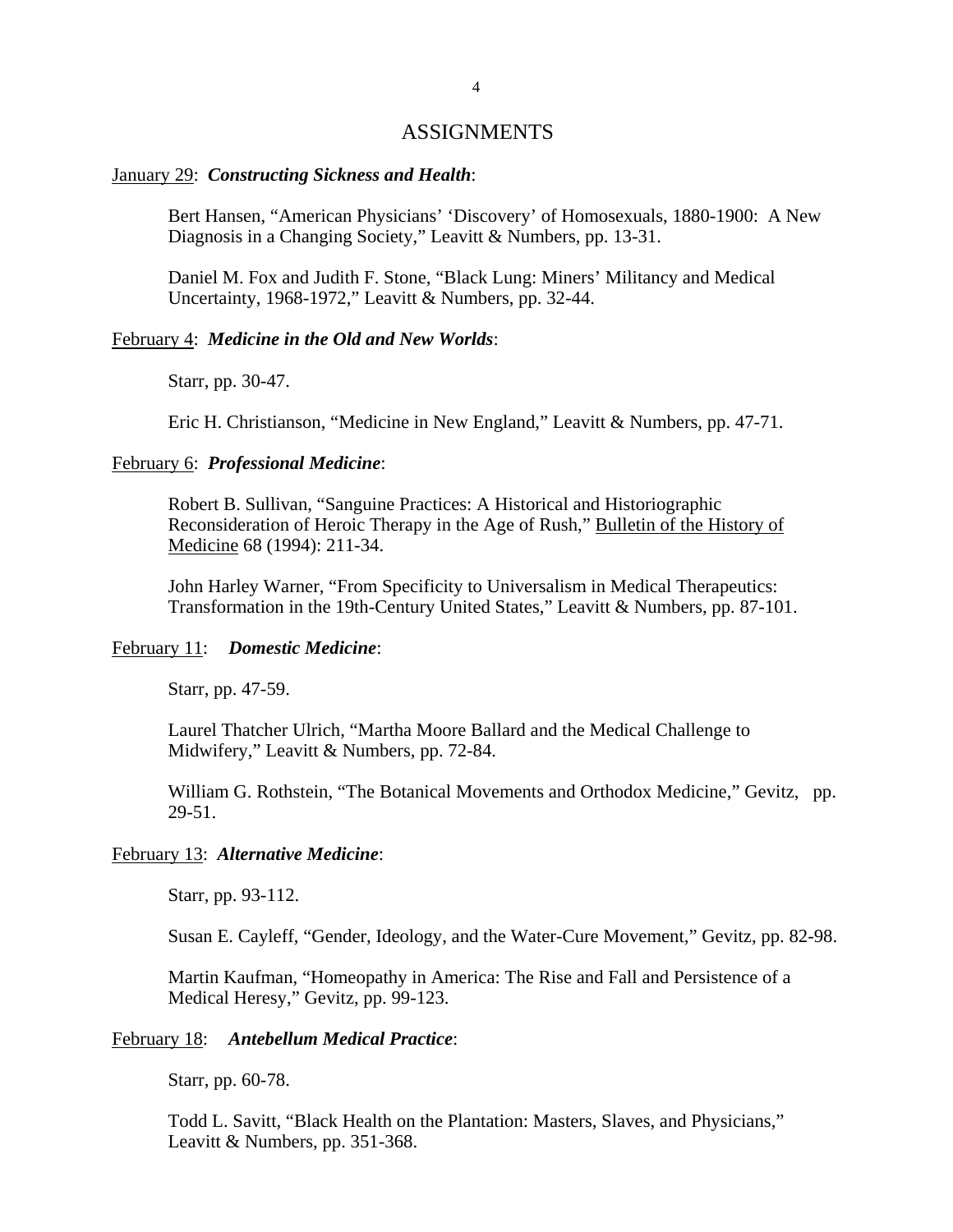# ASSIGNMENTS

### January 29: *Constructing Sickness and Health*:

Bert Hansen, "American Physicians' 'Discovery' of Homosexuals, 1880-1900: A New Diagnosis in a Changing Society," Leavitt & Numbers, pp. 13-31.

Daniel M. Fox and Judith F. Stone, "Black Lung: Miners' Militancy and Medical Uncertainty, 1968-1972," Leavitt & Numbers, pp. 32-44.

### February 4: *Medicine in the Old and New Worlds*:

Starr, pp. 30-47.

Eric H. Christianson, "Medicine in New England," Leavitt & Numbers, pp. 47-71.

### February 6: *Professional Medicine*:

Robert B. Sullivan, "Sanguine Practices: A Historical and Historiographic Reconsideration of Heroic Therapy in the Age of Rush," Bulletin of the History of Medicine 68 (1994): 211-34.

John Harley Warner, "From Specificity to Universalism in Medical Therapeutics: Transformation in the 19th-Century United States," Leavitt & Numbers, pp. 87-101.

### February 11: *Domestic Medicine*:

Starr, pp. 47-59.

Laurel Thatcher Ulrich, "Martha Moore Ballard and the Medical Challenge to Midwifery," Leavitt & Numbers, pp. 72-84.

William G. Rothstein, "The Botanical Movements and Orthodox Medicine," Gevitz, pp. 29-51.

#### February 13: *Alternative Medicine*:

Starr, pp. 93-112.

Susan E. Cayleff, "Gender, Ideology, and the Water-Cure Movement," Gevitz, pp. 82-98.

Martin Kaufman, "Homeopathy in America: The Rise and Fall and Persistence of a Medical Heresy," Gevitz, pp. 99-123.

# February 18: *Antebellum Medical Practice*:

Starr, pp. 60-78.

Todd L. Savitt, "Black Health on the Plantation: Masters, Slaves, and Physicians," Leavitt & Numbers, pp. 351-368.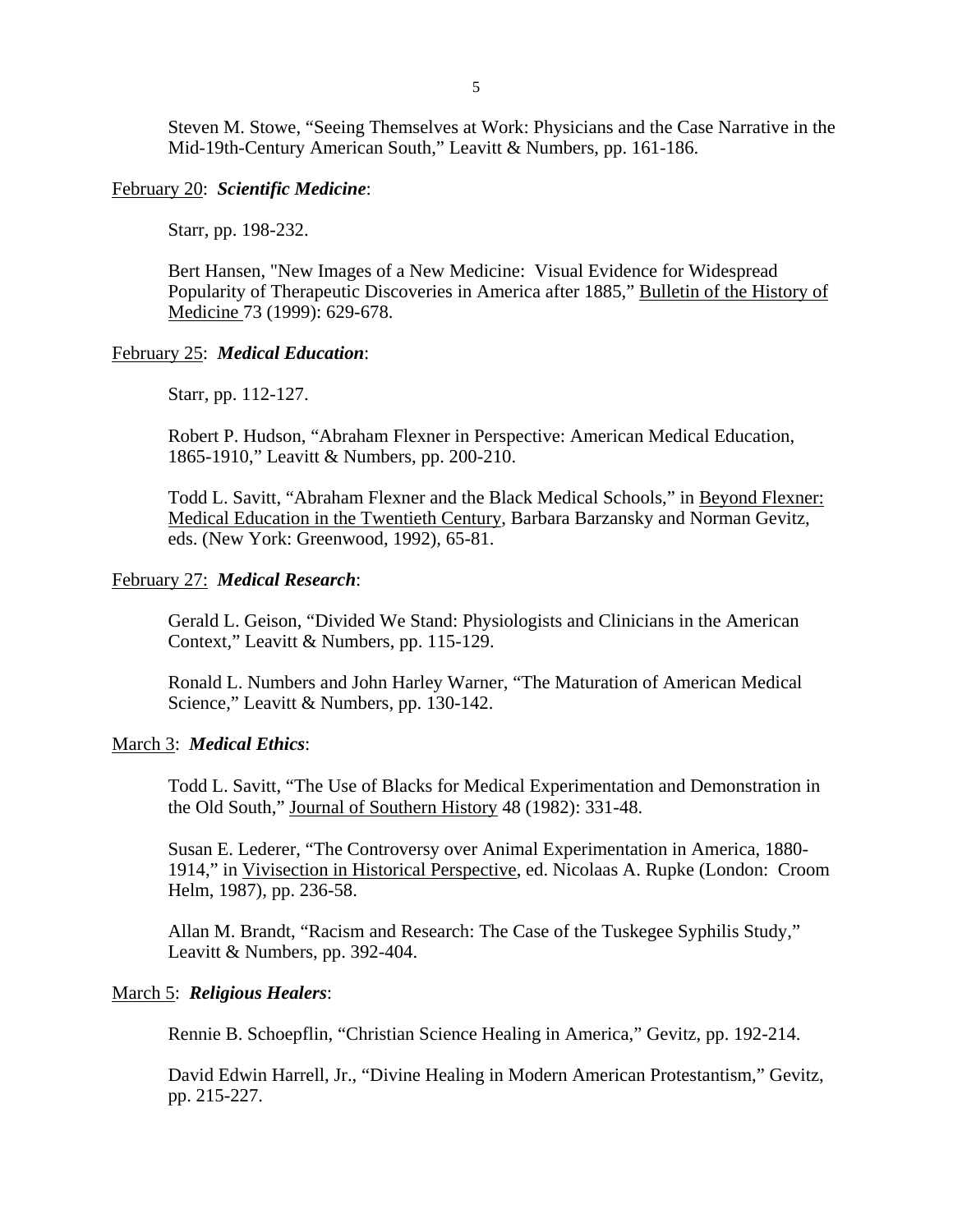Steven M. Stowe, "Seeing Themselves at Work: Physicians and the Case Narrative in the Mid-19th-Century American South," Leavitt & Numbers, pp. 161-186.

### February 20: *Scientific Medicine*:

Starr, pp. 198-232.

Bert Hansen, "New Images of a New Medicine: Visual Evidence for Widespread Popularity of Therapeutic Discoveries in America after 1885," Bulletin of the History of Medicine 73 (1999): 629-678.

### February 25: *Medical Education*:

Starr, pp. 112-127.

Robert P. Hudson, "Abraham Flexner in Perspective: American Medical Education, 1865-1910," Leavitt & Numbers, pp. 200-210.

Todd L. Savitt, "Abraham Flexner and the Black Medical Schools," in Beyond Flexner: Medical Education in the Twentieth Century, Barbara Barzansky and Norman Gevitz, eds. (New York: Greenwood, 1992), 65-81.

#### February 27: *Medical Research*:

Gerald L. Geison, "Divided We Stand: Physiologists and Clinicians in the American Context," Leavitt & Numbers, pp. 115-129.

Ronald L. Numbers and John Harley Warner, "The Maturation of American Medical Science," Leavitt & Numbers, pp. 130-142.

### March 3: *Medical Ethics*:

Todd L. Savitt, "The Use of Blacks for Medical Experimentation and Demonstration in the Old South," Journal of Southern History 48 (1982): 331-48.

Susan E. Lederer, "The Controversy over Animal Experimentation in America, 1880- 1914," in Vivisection in Historical Perspective, ed. Nicolaas A. Rupke (London: Croom Helm, 1987), pp. 236-58.

Allan M. Brandt, "Racism and Research: The Case of the Tuskegee Syphilis Study," Leavitt & Numbers, pp. 392-404.

## March 5: *Religious Healers*:

Rennie B. Schoepflin, "Christian Science Healing in America," Gevitz, pp. 192-214.

David Edwin Harrell, Jr., "Divine Healing in Modern American Protestantism," Gevitz, pp. 215-227.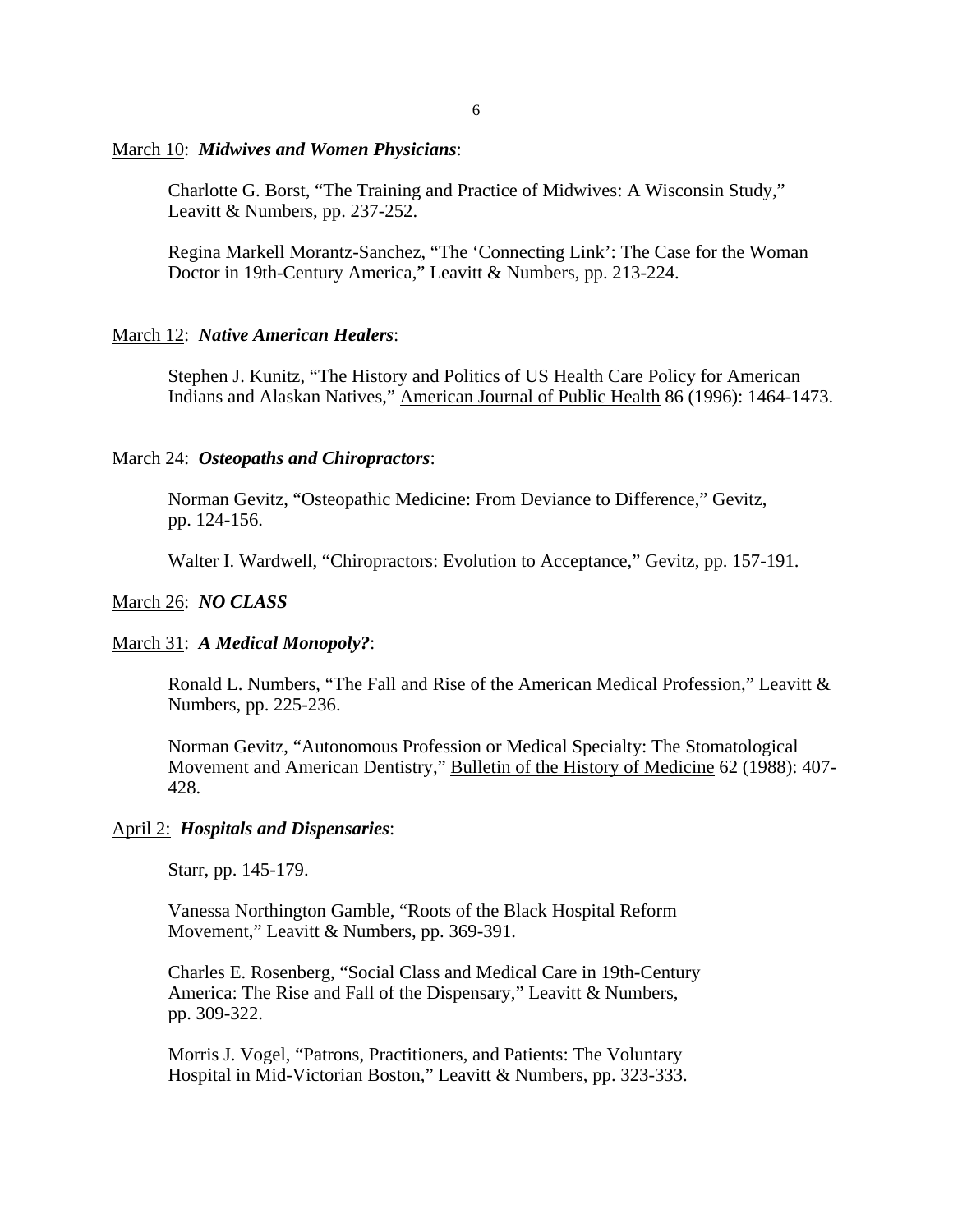# March 10: *Midwives and Women Physicians*:

Charlotte G. Borst, "The Training and Practice of Midwives: A Wisconsin Study," Leavitt & Numbers, pp. 237-252.

Regina Markell Morantz-Sanchez, "The 'Connecting Link': The Case for the Woman Doctor in 19th-Century America," Leavitt & Numbers, pp. 213-224.

### March 12: *Native American Healers*:

Stephen J. Kunitz, "The History and Politics of US Health Care Policy for American Indians and Alaskan Natives," American Journal of Public Health 86 (1996): 1464-1473.

# March 24: *Osteopaths and Chiropractors*:

Norman Gevitz, "Osteopathic Medicine: From Deviance to Difference," Gevitz, pp. 124-156.

Walter I. Wardwell, "Chiropractors: Evolution to Acceptance," Gevitz, pp. 157-191.

### March 26: *NO CLASS*

### March 31: *A Medical Monopoly?*:

Ronald L. Numbers, "The Fall and Rise of the American Medical Profession," Leavitt & Numbers, pp. 225-236.

Norman Gevitz, "Autonomous Profession or Medical Specialty: The Stomatological Movement and American Dentistry," Bulletin of the History of Medicine 62 (1988): 407- 428.

#### April 2: *Hospitals and Dispensaries*:

Starr, pp. 145-179.

Vanessa Northington Gamble, "Roots of the Black Hospital Reform Movement," Leavitt & Numbers, pp. 369-391.

Charles E. Rosenberg, "Social Class and Medical Care in 19th-Century America: The Rise and Fall of the Dispensary," Leavitt & Numbers, pp. 309-322.

Morris J. Vogel, "Patrons, Practitioners, and Patients: The Voluntary Hospital in Mid-Victorian Boston," Leavitt & Numbers, pp. 323-333.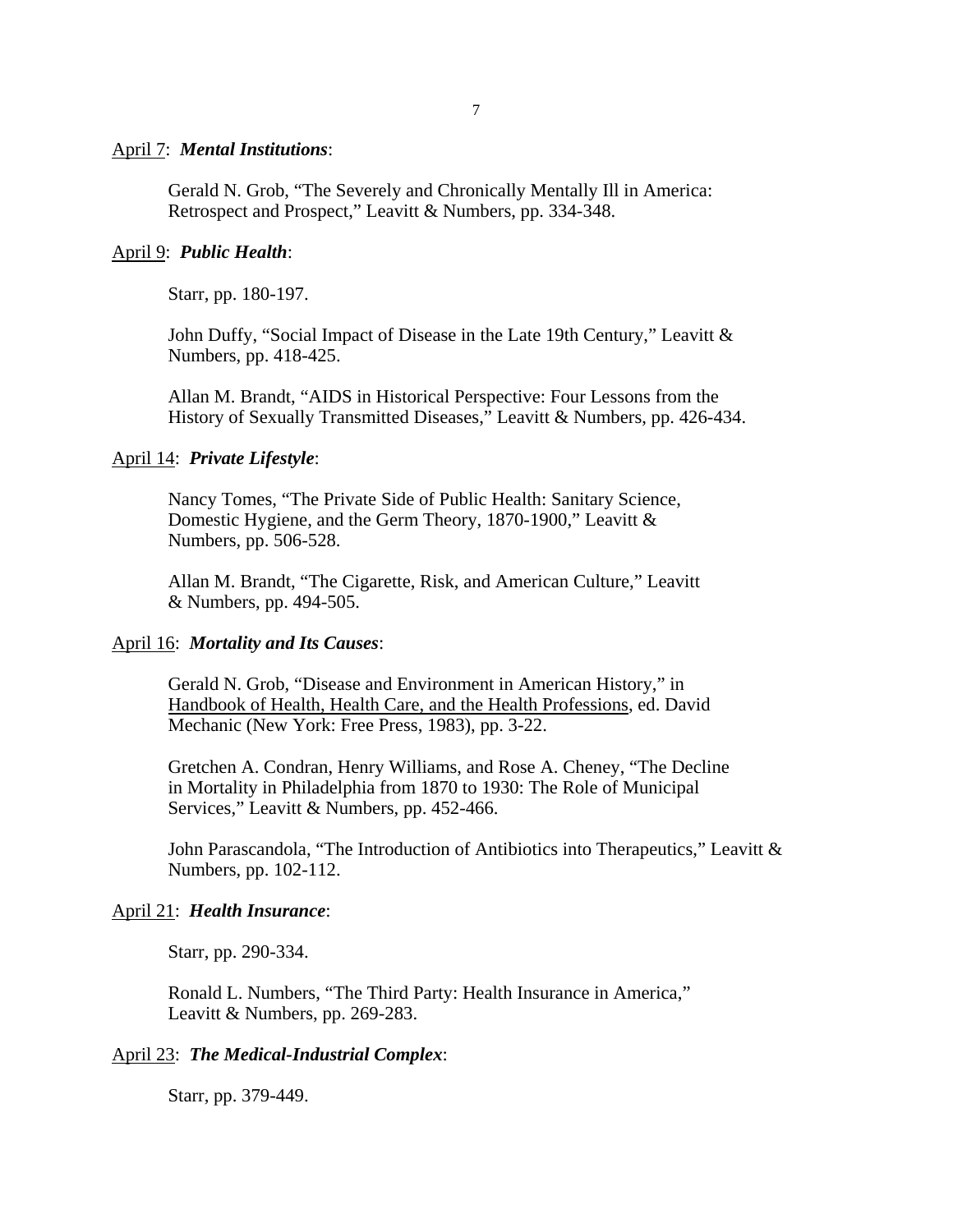#### April 7: *Mental Institutions*:

Gerald N. Grob, "The Severely and Chronically Mentally Ill in America: Retrospect and Prospect," Leavitt & Numbers, pp. 334-348.

### April 9: *Public Health*:

Starr, pp. 180-197.

John Duffy, "Social Impact of Disease in the Late 19th Century," Leavitt & Numbers, pp. 418-425.

Allan M. Brandt, "AIDS in Historical Perspective: Four Lessons from the History of Sexually Transmitted Diseases," Leavitt & Numbers, pp. 426-434.

### April 14: *Private Lifestyle*:

Nancy Tomes, "The Private Side of Public Health: Sanitary Science, Domestic Hygiene, and the Germ Theory, 1870-1900," Leavitt & Numbers, pp. 506-528.

Allan M. Brandt, "The Cigarette, Risk, and American Culture," Leavitt & Numbers, pp. 494-505.

### April 16: *Mortality and Its Causes*:

Gerald N. Grob, "Disease and Environment in American History," in Handbook of Health, Health Care, and the Health Professions, ed. David Mechanic (New York: Free Press, 1983), pp. 3-22.

Gretchen A. Condran, Henry Williams, and Rose A. Cheney, "The Decline in Mortality in Philadelphia from 1870 to 1930: The Role of Municipal Services," Leavitt & Numbers, pp. 452-466.

John Parascandola, "The Introduction of Antibiotics into Therapeutics," Leavitt & Numbers, pp. 102-112.

#### April 21: *Health Insurance*:

Starr, pp. 290-334.

Ronald L. Numbers, "The Third Party: Health Insurance in America," Leavitt & Numbers, pp. 269-283.

### April 23: *The Medical-Industrial Complex*:

Starr, pp. 379-449.